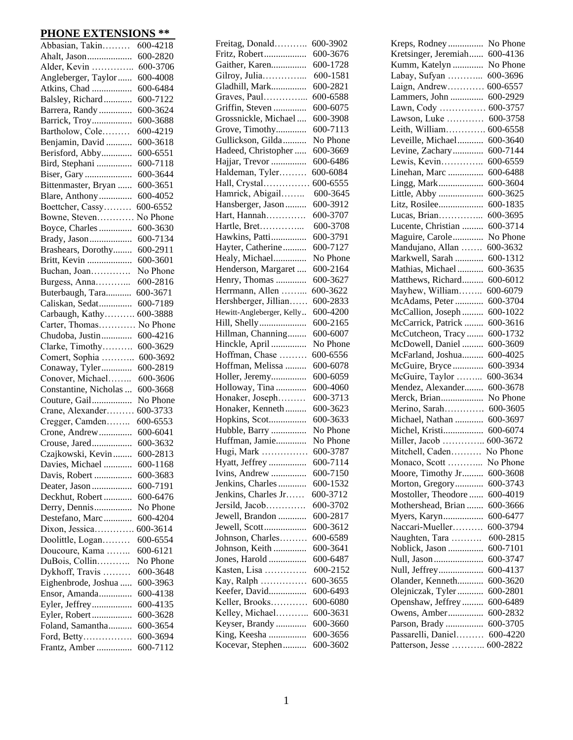## **PHONE EXTENSIONS \*\***

| Abbasian, Takin       | 600-4218 |
|-----------------------|----------|
| Ahalt, Jason          | 600-2820 |
| Alder, Kevin          | 600-3706 |
| Angleberger, Taylor   | 600-4008 |
| Atkins, Chad          | 600-6484 |
| Balsley, Richard      | 600-7122 |
| Barrera, Randy        | 600-3624 |
| Barrick, Troy         | 600-3688 |
| Bartholow, Cole       | 600-4219 |
| Benjamin, David       | 600-3618 |
| Berisford, Abby       | 600-6551 |
| Bird, Stephani        | 600-7118 |
| Biser, Gary           | 600-3644 |
| Bittenmaster, Bryan   | 600-3651 |
| Blare, Anthony        | 600-4052 |
| Boettcher, Cassy      | 600-6552 |
| Bowne, Steven         | No Phone |
| Boyce, Charles        | 600-3630 |
| Brady, Jason          | 600-7134 |
| Brashears, Dorothy    | 600-2911 |
|                       | 600-3601 |
| Britt, Kevin          |          |
| Buchan, Joan          | No Phone |
| Burgess, Anna         | 600-2816 |
| Buterbaugh, Tara      | 600-3671 |
| Caliskan, Sedat       | 600-7189 |
| Carbaugh, Kathy       | 600-3888 |
| Carter, Thomas        | No Phone |
| Chudoba, Justin       | 600-4216 |
| Clarke, Timothy       | 600-3629 |
| Comert, Sophia        | 600-3692 |
| Conaway, Tyler        | 600-2819 |
| Conover, Michael      | 600-3606 |
| Constantine, Nicholas | 600-3668 |
| Couture, Gail         | No Phone |
| Crane, Alexander      | 600-3733 |
| Cregger, Camden       | 600-6553 |
| Crone, Andrew         | 600-6041 |
| Crouse, Jared         | 600-3632 |
| Czajkowski, Kevin     | 600-2813 |
| Davies, Michael       | 600-1168 |
| Davis, Robert         | 600-3683 |
| Deater, Jason         | 600-7191 |
| Deckhut, Robert       | 600-6476 |
| Derry, Dennis         | No Phone |
| Destefano, Marc       | 600-4204 |
| Dixon, Jessica        | 600-3614 |
| Doolittle, Logan      | 600-6554 |
| Doucoure, Kama        | 600-6121 |
| DuBois, Collin        | No Phone |
| Dykhoff, Travis       | 600-3648 |
| Eighenbrode, Joshua   | 600-3963 |
| Ensor, Amanda         | 600-4138 |
| Eyler, Jeffrey        | 600-4135 |
| Eyler, Robert         | 600-3628 |
| Foland, Samantha      | 600-3654 |
| Ford, Betty           | 600-3694 |
| Frantz, Amber         | 600-7112 |
|                       |          |

| Freitag, Donald              | 600-3902 |
|------------------------------|----------|
| Fritz, Robert                | 600-3676 |
| Gaither, Karen               | 600-1728 |
| Gilroy, Julia                | 600-1581 |
| Gladhill, Mark               | 600-2821 |
| Graves, Paul                 | 600-6588 |
| Griffin, Steven              | 600-6075 |
| Grossnickle, Michael         | 600-3908 |
| Grove, Timothy               | 600-7113 |
| Gullickson, Gilda            | No Phone |
| Hadeed, Christopher          | 600-3669 |
| Hajjar, Trevor               | 600-6486 |
| Haldeman, Tyler              | 600-6084 |
| Hall, Crystal                | 600-6555 |
| Hamrick, Abigail             | 600-3645 |
| Hansberger, Jason            | 600-3912 |
| Hart, Hannah                 | 600-3707 |
| Hartle, Bret                 | 600-3708 |
| Hawkins, Patti               | 600-3791 |
| Hayter, Catherine            | 600-7127 |
| Healy, Michael               | No Phone |
| Henderson, Margaret          | 600-2164 |
| Henry, Thomas                | 600-3627 |
| Herrmann, Allen              | 600-3622 |
| Hershberger, Jillian         | 600-2833 |
| Hewitt-Angleberger, Kelly    | 600-4200 |
| Hill, Shelly                 | 600-2165 |
| Hillman, Channing            | 600-6007 |
| Hinckle, April               | No Phone |
| Hoffman, Chase               | 600-6556 |
| Hoffman, Melissa             | 600-6078 |
| Holler, Jeremy               | 600-6059 |
| Holloway, Tina               | 600-4060 |
| Honaker, Joseph              | 600-3713 |
| Honaker, Kenneth             | 600-3623 |
| Hopkins, Scot                | 600-3633 |
| Hubble, Barry                | No Phone |
| Huffman, Jamie               | No Phone |
|                              | 600-3787 |
| Hugi, Mark<br>Hyatt, Jeffrey | 600-7114 |
| Ivins, Andrew                | 600-7150 |
| Jenkins, Charles             | 600-1532 |
| Jenkins, Charles Jr          | 600-3712 |
|                              | 600-3702 |
| Jersild, Jacob               |          |
| Jewell, Brandon              | 600-2817 |
| Jewell, Scott                | 600-3612 |
| Johnson, Charles             | 600-6589 |
| Johnson, Keith               | 600-3641 |
| Jones, Harold                | 600-6487 |
| Kasten, Lisa                 | 600-2152 |
| Kay, Ralph                   | 600-3655 |
| Keefer, David                | 600-6493 |
| Keller, Brooks               | 600-6080 |
| Kelley, Michael              | 600-3631 |
| Keyser, Brandy               | 600-3660 |
| King, Keesha                 | 600-3656 |
| Kocevar, Stephen             | 600-3602 |
|                              |          |

| Kreps, Rodney        | No Phone |
|----------------------|----------|
| Kretsinger, Jeremiah | 600-4136 |
| Kumm, Katelyn        | No Phone |
| Labay, Sufyan        | 600-3696 |
| Laign, Andrew        | 600-6557 |
| Lammers, John        | 600-2929 |
| Lawn, Cody           | 600-3757 |
| Lawson, Luke         | 600-3758 |
| Leith, William       | 600-6558 |
| Leveille, Michael    | 600-3640 |
| Levine, Zachary      | 600-7144 |
| Lewis, Kevin         | 600-6559 |
| Linehan, Marc        | 600-6488 |
| Lingg, Mark          | 600-3604 |
| Little, Abby         | 600-3625 |
| Litz, Rosilee        | 600-1835 |
| Lucas, Brian         | 600-3695 |
| Lucente, Christian   | 600-3714 |
| Maguire, Carole      | No Phone |
| Mandujano, Allan     | 600-3632 |
| Markwell, Sarah      | 600-1312 |
| Mathias, Michael     | 600-3635 |
| Matthews, Richard    | 600-6012 |
| Mayhew, William      | 600-6079 |
| McAdams, Peter       | 600-3704 |
| McCallion, Joseph    | 600-1022 |
| McCarrick, Patrick   | 600-3616 |
| McCutcheon, Tracy    | 600-1732 |
| McDowell, Daniel     | 600-3609 |
| McFarland, Joshua    | 600-4025 |
| McGuire, Bryce       | 600-3934 |
| McGuire, Taylor      | 600-3634 |
| Mendez, Alexander    | 600-3678 |
| Merck, Brian         | No Phone |
| Merino, Sarah        | 600-3605 |
| Michael, Nathan      | 600-3697 |
| Michel, Kristi       | 600-6074 |
| Miller, Jacob        | 600-3672 |
| Mitchell, Caden      | No Phone |
| Monaco, Scott        | No Phone |
| Moore, Timothy Jr    | 600-3608 |
| Morton, Gregory      | 600-3743 |
| Mostoller, Theodore  | 600-4019 |
| Mothershead, Brian   | 600-3666 |
| Myers, Karyn         | 600-6477 |
| Naccari-Mueller      | 600-3794 |
| Naughten, Tara       | 600-2815 |
| Noblick, Jason       | 600-7101 |
| Null, Jason          | 600-3747 |
| Null, Jeffrey        | 600-4137 |
| Olander, Kenneth     | 600-3620 |
| Olejniczak, Tyler    | 600-2801 |
| Openshaw, Jeffrey    | 600-6489 |
| Owens, Amber         | 600-2832 |
| Parson, Brady        | 600-3705 |
| Passarelli, Daniel   | 600-4220 |
| Patterson, Jesse     | 600-2822 |